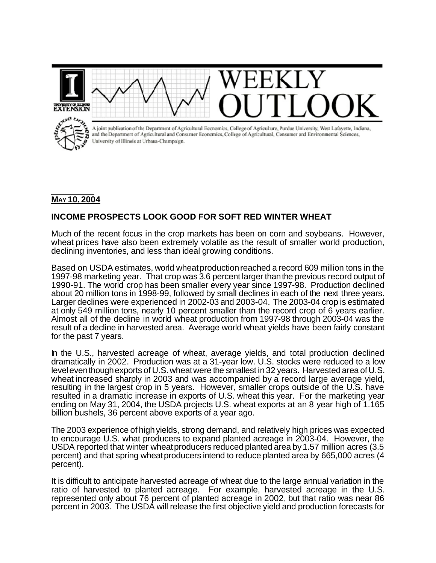

## **MAY 10, 2004**

## **INCOME PROSPECTS LOOK GOOD FOR SOFT RED WINTER WHEAT**

Much of the recent focus in the crop markets has been on corn and soybeans. However, wheat prices have also been extremely volatile as the result of smaller world production, declining inventories, and less than ideal growing conditions.

Based on USDA estimates, world wheatproductionreached a record 609 million tons in the 1997-98 marketing year. That crop was 3.6 percent larger thanthe previous record output of 1990-91. The world crop has been smaller every year since 1997-98. Production declined about 20 million tons in 1998-99, followed by small declines in each of the next three years. Larger declines were experienced in 2002-03 and 2003-04. The 2003-04 crop is estimated at only 549 million tons, nearly 10 percent smaller than the record crop of 6 years earlier. Almost all of the decline in world wheat production from 1997-98 through 2003-04 was the result of a decline in harvested area. Average world wheat yields have been fairly constant for the past 7 years.

In the U.S., harvested acreage of wheat, average yields, and total production declined dramatically in 2002. Production was at a 31-year low. U.S. stocks were reduced to a low level even though exports of U.S. wheat were the smallest in 32 years. Harvested area of U.S. wheat increased sharply in 2003 and was accompanied by a record large average yield, resulting in the largest crop in 5 years. However, smaller crops outside of the U.S. have resulted in a dramatic increase in exports of U.S. wheat this year. For the marketing year ending on May 31, 2004, the USDA projects U.S. wheat exports at an 8 year high of 1.165 billion bushels, 36 percent above exports of a year ago.

The 2003 experience of high yields, strong demand, and relatively high prices was expected to encourage U.S. what producers to expand planted acreage in 2003-04. However, the USDA reported that winter wheatproducers reduced planted area by1.57 million acres (3.5 percent) and that spring wheatproducers intend to reduce planted area by 665,000 acres (4 percent).

It is difficult to anticipate harvested acreage of wheat due to the large annual variation in the ratio of harvested to planted acreage. For example, harvested acreage in the U.S. represented only about 76 percent of planted acreage in 2002, but that ratio was near 86 percent in 2003. The USDA will release the first objective yield and production forecasts for